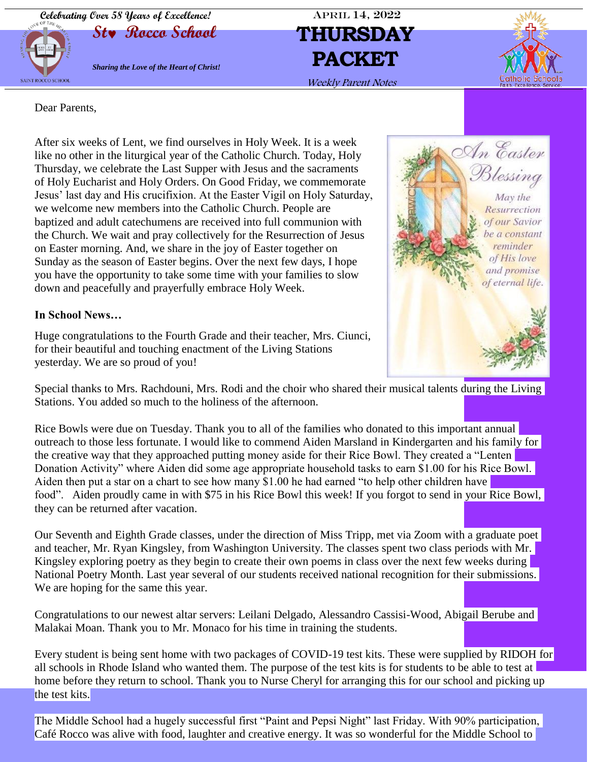**Celebrating Over 58 Years of Excellence!** APRIL 14, 2022



# **St Rocco School THURSDAY** Weekly Parent Notes



Dear Parents,

After six weeks of Lent, we find ourselves in Holy Week. It is a week like no other in the liturgical year of the Catholic Church. Today, Holy Thursday, we celebrate the Last Supper with Jesus and the sacraments of Holy Eucharist and Holy Orders. On Good Friday, we commemorate Jesus' last day and His crucifixion. At the Easter Vigil on Holy Saturday, we welcome new members into the Catholic Church. People are baptized and adult catechumens are received into full communion with the Church. We wait and pray collectively for the Resurrection of Jesus on Easter morning. And, we share in the joy of Easter together on Sunday as the season of Easter begins. Over the next few days, I hope you have the opportunity to take some time with your families to slow down and peacefully and prayerfully embrace Holy Week.

#### **In School News…**

Huge congratulations to the Fourth Grade and their teacher, Mrs. Ciunci, for their beautiful and touching enactment of the Living Stations yesterday. We are so proud of you!



Special thanks to Mrs. Rachdouni, Mrs. Rodi and the choir who shared their musical talents during the Living Stations. You added so much to the holiness of the afternoon.

Rice Bowls were due on Tuesday. Thank you to all of the families who donated to this important annual outreach to those less fortunate. I would like to commend Aiden Marsland in Kindergarten and his family for the creative way that they approached putting money aside for their Rice Bowl. They created a "Lenten Donation Activity" where Aiden did some age appropriate household tasks to earn \$1.00 for his Rice Bowl. Aiden then put a star on a chart to see how many \$1.00 he had earned "to help other children have food". Aiden proudly came in with \$75 in his Rice Bowl this week! If you forgot to send in your Rice Bowl, they can be returned after vacation.

Our Seventh and Eighth Grade classes, under the direction of Miss Tripp, met via Zoom with a graduate poet and teacher, Mr. Ryan Kingsley, from Washington University. The classes spent two class periods with Mr. Kingsley exploring poetry as they begin to create their own poems in class over the next few weeks during National Poetry Month. Last year several of our students received national recognition for their submissions. We are hoping for the same this year.

Congratulations to our newest altar servers: Leilani Delgado, Alessandro Cassisi-Wood, Abigail Berube and Malakai Moan. Thank you to Mr. Monaco for his time in training the students.

Every student is being sent home with two packages of COVID-19 test kits. These were supplied by RIDOH for all schools in Rhode Island who wanted them. The purpose of the test kits is for students to be able to test at home before they return to school. Thank you to Nurse Cheryl for arranging this for our school and picking up the test kits.

The Middle School had a hugely successful first "Paint and Pepsi Night" last Friday. With 90% participation, Café Rocco was alive with food, laughter and creative energy. It was so wonderful for the Middle School to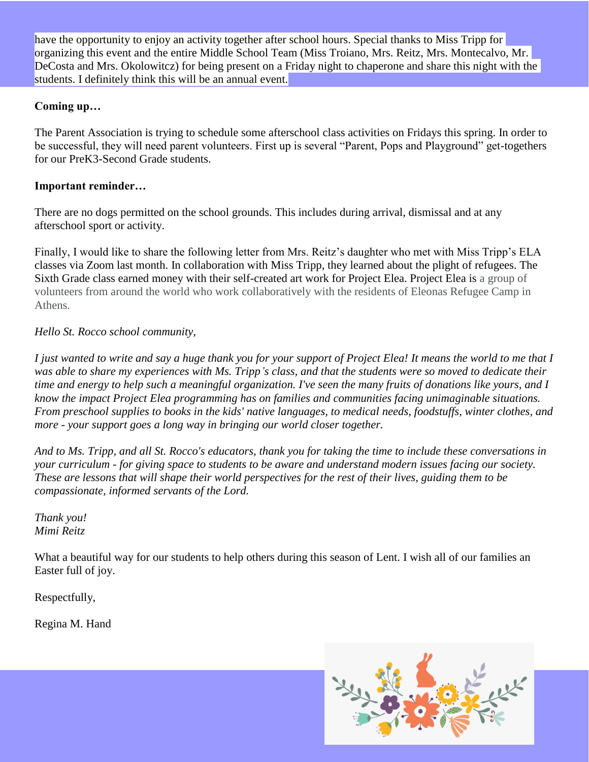have the opportunity to enjoy an activity together after school hours. Special thanks to Miss Tripp for organizing this event and the entire Middle School Team (Miss Troiano, Mrs. Reitz, Mrs. Montecalvo, Mr. DeCosta and Mrs. Okolowitcz) for being present on a Friday night to chaperone and share this night with the students. I definitely think this will be an annual event.

#### **Coming up…**

The Parent Association is trying to schedule some afterschool class activities on Fridays this spring. In order to be successful, they will need parent volunteers. First up is several "Parent, Pops and Playground" get-togethers for our PreK3-Second Grade students.

#### **Important reminder…**

There are no dogs permitted on the school grounds. This includes during arrival, dismissal and at any afterschool sport or activity.

Finally, I would like to share the following letter from Mrs. Reitz's daughter who met with Miss Tripp's ELA classes via Zoom last month. In collaboration with Miss Tripp, they learned about the plight of refugees. The Sixth Grade class earned money with their self-created art work for Project Elea. Project Elea is a group of volunteers from around the world who work collaboratively with the residents of Eleonas Refugee Camp in Athens.

#### *Hello St. Rocco school community,*

*I just wanted to write and say a huge thank you for your support of Project Elea! It means the world to me that I was able to share my experiences with Ms. Tripp's class, and that the students were so moved to dedicate their time and energy to help such a meaningful organization. I've seen the many fruits of donations like yours, and I know the impact Project Elea programming has on families and communities facing unimaginable situations. From preschool supplies to books in the kids' native languages, to medical needs, foodstuffs, winter clothes, and more - your support goes a long way in bringing our world closer together.*

*And to Ms. Tripp, and all St. Rocco's educators, thank you for taking the time to include these conversations in your curriculum - for giving space to students to be aware and understand modern issues facing our society. These are lessons that will shape their world perspectives for the rest of their lives, guiding them to be compassionate, informed servants of the Lord.*

*Thank you! Mimi Reitz*

What a beautiful way for our students to help others during this season of Lent. I wish all of our families an Easter full of joy.

Respectfully,

Regina M. Hand

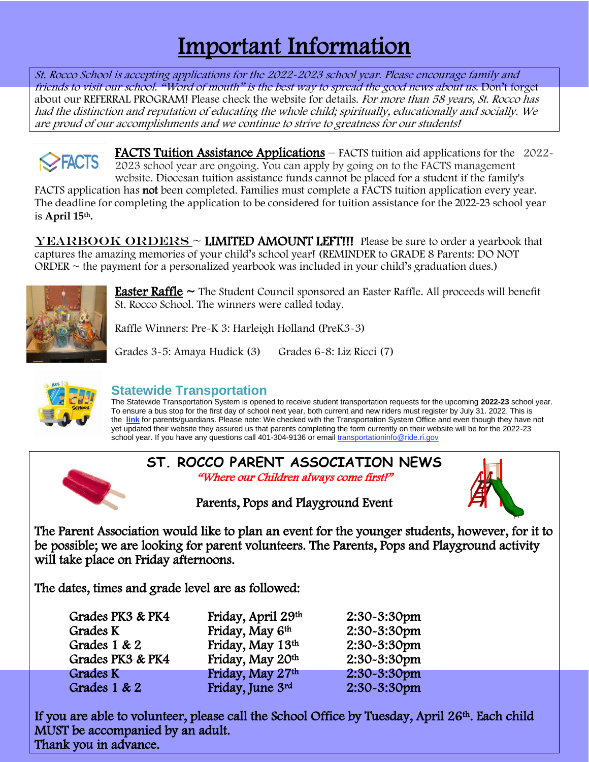### Important Information

St. Rocco School is accepting applications for the 2022-2023 school year. Please encourage family and friends to visit our school. "Word of mouth" is the best way to spread the good news about us. Don't forget about our REFERRAL PROGRAM! Please check the website for details. For more than 58 years, St. Rocco has had the distinction and reputation of educating the whole child; spiritually, educationally and socially. We are proud of our accomplishments and we continue to strive to greatness for our students!

FACTS Tuition Assistance Applications – FACTS tuition aid applications for the 2022- **SEACTS** 2023 school year are ongoing. You can apply by going on to the FACTS management website. Diocesan tuition assistance funds cannot be placed for a student if the family's FACTS application has not been completed. Families must complete a FACTS tuition application every year. The deadline for completing the application to be considered for tuition assistance for the 2022-23 school year is **April 15th.**

 $YEARBOOK ORDERS \sim LIMITED AMOUNT LEFT!!$  Please be sure to order a yearbook that captures the amazing memories of your child's school year! (REMINDER to GRADE 8 Parents: DO NOT ORDER  $\sim$  the payment for a personalized yearbook was included in your child's graduation dues.)



**Easter Raffle**  $\sim$  The Student Council sponsored an Easter Raffle. All proceeds will benefit St. Rocco School. The winners were called today.

Raffle Winners: Pre-K 3: Harleigh Holland (PreK3-3)

Grades 3-5: Amaya Hudick (3) Grades 6-8: Liz Ricci (7)



### **Statewide Transportation**

The Statewide Transportation System is opened to receive student transportation requests for the upcoming **2022-23** school year. To ensure a bus stop for the first day of school next year, both current and new riders must register by July 31. 2022. This is the **[link](https://r20.rs6.net/tn.jsp?f=001Bh3k1aALkuXPF0fjEwjz_-AJ0e-sKwpTjDjl9_i7wPQPSOpP2cRi5ZrWXHrD8_U5iEuWvhp8F9qnkQFoCRAX1yYZEpOGoLjVwr14mcgC2a93PlM6RhDZopfIi1oPfxqCDTfWRmz9WqhiZhjdRV7iqNKOs6vcopF8v9uoTFLi_bs9dBdhODBbnEjhamWlK7dMqZh8FpDhoh8JHVaYUvjkjPDfwnTkSmwwJHus76b9nyzfeOa0nFF_QiQ9OPoHZVoh4TUPyJI3U3e0cAw7EdzetKmmrVma_K83nlUlzBekMqZudf6pZp6JJ_CSDiBnokTJuxiGIzoBI4eGpvv_pEubrDgPY9Oez6C7hlqhoz8zI_g=&c=2VunItJxJbihE7M_KQ80ZRwUIDQaEZoErfr1m66OX8N-6O_BP3hgFA==&ch=f4N9rhkuY5rMx9bDqo_rhn63Ky3H3Pp8W04ETkv1hB4DMPR0joyFwA==)** for parents/guardians. Please note: We checked with the Transportation System Office and even though they have not yet updated their website they assured us that parents completing the form currently on their website will be for the 2022-23 school year. If you have any questions call 401-304-9136 or email [transportationinfo@ride.ri.gov](mailto:transportationinfo@ride.ri.gov)



If you are able to volunteer, please call the School Office by Tuesday, April 26<sup>th</sup>. Each child MUST be accompanied by an adult. Thank you in advance.